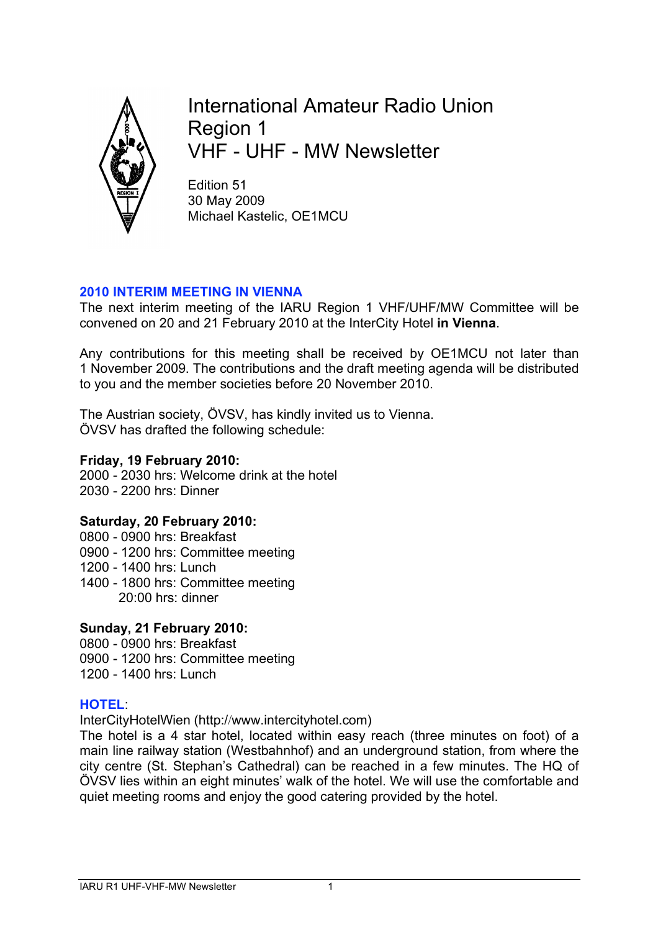

International Amateur Radio Union Region 1 VHF - UHF - MW Newsletter

Edition 51 30 May 2009 Michael Kastelic, OE1MCU

## **2010 INTERIM MEETING IN VIENNA**

The next interim meeting of the IARU Region 1 VHF/UHF/MW Committee will be convened on 20 and 21 February 2010 at the InterCity Hotel **in Vienna**.

Any contributions for this meeting shall be received by OE1MCU not later than 1 November 2009. The contributions and the draft meeting agenda will be distributed to you and the member societies before 20 November 2010.

The Austrian society, ÖVSV, has kindly invited us to Vienna. ÖVSV has drafted the following schedule:

## **Friday, 19 February 2010:**

2000 - 2030 hrs: Welcome drink at the hotel 2030 - 2200 hrs: Dinner

# **Saturday, 20 February 2010:**

- 0800 0900 hrs: Breakfast
- 0900 1200 hrs: Committee meeting
- 1200 1400 hrs: Lunch
- 1400 1800 hrs: Committee meeting 20:00 hrs: dinner

#### **Sunday, 21 February 2010:**

- 0800 0900 hrs: Breakfast
- 0900 1200 hrs: Committee meeting
- 1200 1400 hrs: Lunch

#### **HOTEL**:

InterCityHotelWien (http://www.intercityhotel.com)

The hotel is a 4 star hotel, located within easy reach (three minutes on foot) of a main line railway station (Westbahnhof) and an underground station, from where the city centre (St. Stephan's Cathedral) can be reached in a few minutes. The HQ of ÖVSV lies within an eight minutes' walk of the hotel. We will use the comfortable and quiet meeting rooms and enjoy the good catering provided by the hotel.